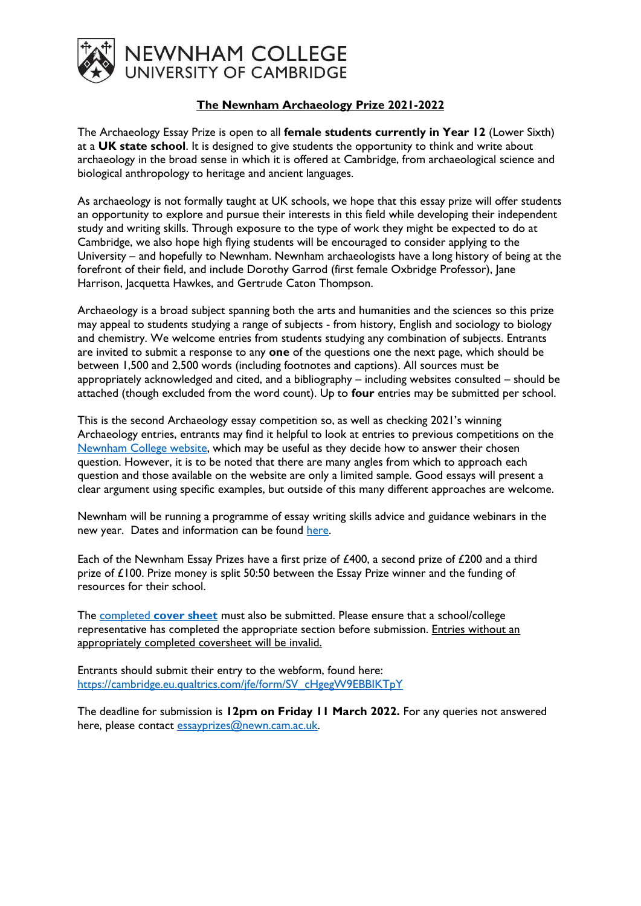

## **The Newnham Archaeology Prize 2021-2022**

The Archaeology Essay Prize is open to all **female students currently in Year 12** (Lower Sixth) at a **UK state school**. It is designed to give students the opportunity to think and write about archaeology in the broad sense in which it is offered at Cambridge, from archaeological science and biological anthropology to heritage and ancient languages.

As archaeology is not formally taught at UK schools, we hope that this essay prize will offer students an opportunity to explore and pursue their interests in this field while developing their independent study and writing skills. Through exposure to the type of work they might be expected to do at Cambridge, we also hope high flying students will be encouraged to consider applying to the University – and hopefully to Newnham. Newnham archaeologists have a long history of being at the forefront of their field, and include Dorothy Garrod (first female Oxbridge Professor), Jane Harrison, Jacquetta Hawkes, and Gertrude Caton Thompson.

Archaeology is a broad subject spanning both the arts and humanities and the sciences so this prize may appeal to students studying a range of subjects - from history, English and sociology to biology and chemistry. We welcome entries from students studying any combination of subjects. Entrants are invited to submit a response to any **one** of the questions one the next page, which should be between 1,500 and 2,500 words (including footnotes and captions). All sources must be appropriately acknowledged and cited, and a bibliography – including websites consulted – should be attached (though excluded from the word count). Up to **four** entries may be submitted per school.

This is the second Archaeology essay competition so, as well as checking 2021's winning Archaeology entries, entrants may find it helpful to look at entries to previous competitions on the [Newnham College website,](https://newn.cam.ac.uk/admissions/undergraduates/newnham-essay-prizes/) which may be useful as they decide how to answer their chosen question. However, it is to be noted that there are many angles from which to approach each question and those available on the website are only a limited sample. Good essays will present a clear argument using specific examples, but outside of this many different approaches are welcome.

Newnham will be running a programme of essay writing skills advice and guidance webinars in the new year. Dates and information can be found [here.](https://newn.cam.ac.uk/admissions/undergraduates/newnham-essay-prizes/)

Each of the Newnham Essay Prizes have a first prize of £400, a second prize of £200 and a third prize of £100. Prize money is split 50:50 between the Essay Prize winner and the funding of resources for their school.

The completed **[cover sheet](https://newn.cam.ac.uk/wp-content/uploads/2022/01/Essay-Prize-Cover-Sheet-2021-22.docx)** must also be submitted. Please ensure that a school/college representative has completed the appropriate section before submission. Entries without an appropriately completed coversheet will be invalid.

Entrants should submit their entry to the webform, found here: [https://cambridge.eu.qualtrics.com/jfe/form/SV\\_cHgegW9EBBIKTpY](https://cambridge.eu.qualtrics.com/jfe/form/SV_cHgegW9EBBIKTpY)

The deadline for submission is **12pm on Friday 11 March 2022.** For any queries not answered here, please contact [essayprizes@newn.cam.ac.uk.](mailto:essayprizes@newn.cam.ac.uk)